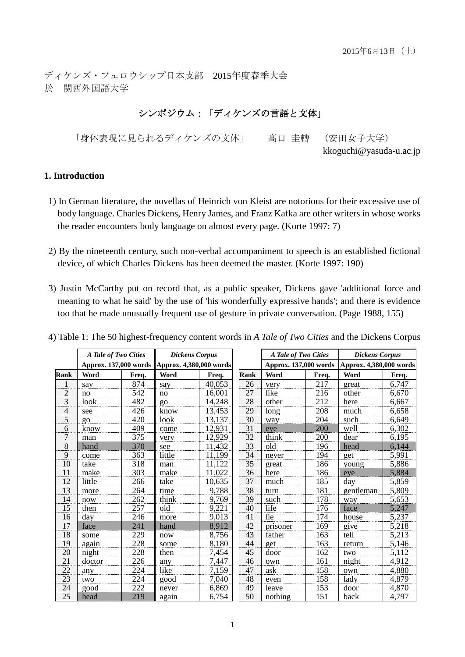kkoguchi@yasuda-u.ac.jp

ディケンズ・フェロウシップ日本支部 2015年度春季大会 於 関西外国語大学

# シンポジウム:「ディケンズの言語と文体」

「身体表現に見られるディケンズの文体」 髙口 圭轉 (安田女子大学)

### **1. Introduction**

- 1) In German literature, the novellas of Heinrich von Kleist are notorious for their excessive use of body language. Charles Dickens, Henry James, and Franz Kafka are other writers in whose works the reader encounters body language on almost every page. (Korte 1997: 7)
- 2) By the nineteenth century, such non-verbal accompaniment to speech is an established fictional device, of which Charles Dickens has been deemed the master. (Korte 1997: 190)
- 3) Justin McCarthy put on record that, as a public speaker, Dickens gave 'additional force and meaning to what he said' by the use of 'his wonderfully expressive hands'; and there is evidence too that he made unusually frequent use of gesture in private conversation. (Page 1988, 155)

|                          | A Tale of Two Cities  |       | <b>Dickens Corpus</b>   |        |             | A Tale of Two Cities  |       | <b>Dickens Corpus</b>   |       |
|--------------------------|-----------------------|-------|-------------------------|--------|-------------|-----------------------|-------|-------------------------|-------|
|                          | Approx. 137,000 words |       | Approx. 4,380,000 words |        |             | Approx. 137,000 words |       | Approx. 4,380,000 words |       |
| <b>Rank</b>              | Word                  | Freq. | Word                    | Freq.  | <b>Rank</b> | <b>Word</b>           | Freq. | Word                    | Freq. |
| $\mathbf{1}$             | say                   | 874   | say                     | 40,053 | 26          | very                  | 217   | great                   | 6,747 |
| $\overline{c}$           | no                    | 542   | no                      | 16,001 | 27          | like                  | 216   | other                   | 6,670 |
| 3                        | look                  | 482   | QQ                      | 14,248 | 28          | other                 | 212   | here                    | 6,667 |
| $\overline{\mathcal{L}}$ | see                   | 426   | know                    | 13,453 | 29          | long                  | 208   | much                    | 6,658 |
| 5                        | QQ                    | 420   | look                    | 13,137 | 30          | way                   | 204   | such                    | 6,649 |
| 6                        | know                  | 409   | come                    | 12,931 | 31          | eye                   | 200   | well                    | 6,302 |
| $\overline{7}$           | man                   | 375   | very                    | 12,929 | 32          | think                 | 200   | dear                    | 6,195 |
| $8\,$                    | hand                  | 370   | see                     | 11,432 | 33          | old                   | 196   | head                    | 6,144 |
| 9                        | come                  | 363   | little                  | 11,199 | 34          | never                 | 194   | get                     | 5,991 |
| 10                       | take                  | 318   | man                     | 11,122 | 35          | great                 | 186   | young                   | 5,886 |
| 11                       | make                  | 303   | make                    | 11,022 | 36          | here                  | 186   | eye                     | 5,884 |
| 12                       | little                | 266   | take                    | 10,635 | 37          | much                  | 185   | day                     | 5,859 |
| 13                       | more                  | 264   | time                    | 9,788  | 38          | turn                  | 181   | gentleman               | 5,809 |
| 14                       | now                   | 262   | think                   | 9,769  | 39          | such                  | 178   | way                     | 5,653 |
| 15                       | then                  | 257   | old                     | 9,221  | 40          | life                  | 176   | face                    | 5,247 |
| 16                       | day                   | 246   | more                    | 9,013  | 41          | lie                   | 174   | house                   | 5,237 |
| 17                       | face                  | 241   | hand                    | 8,912  | 42          | prisoner              | 169   | give                    | 5,218 |
| 18                       | some                  | 229   | now                     | 8,756  | 43          | father                | 163   | tell                    | 5,213 |
| 19                       | again                 | 228   | some                    | 8,180  | 44          | get                   | 163   | return                  | 5,146 |
| 20                       | night                 | 228   | then                    | 7,454  | 45          | door                  | 162   | two                     | 5,112 |
| 21                       | doctor                | 226   | any                     | 7,447  | 46          | own                   | 161   | night                   | 4,912 |
| 22                       | any                   | 224   | like                    | 7,159  | 47          | ask                   | 158   | own                     | 4,880 |
| 23                       | two                   | 224   | good                    | 7,040  | 48          | even                  | 158   | lady                    | 4,879 |
| 24                       | good                  | 222   | never                   | 6,869  | 49          | leave                 | 153   | door                    | 4,870 |
| 25                       | head                  | 219   | again                   | 6,754  | 50          | nothing               | 151   | back                    | 4,797 |

4) Table 1: The 50 highest-frequency content words in *A Tale of Two Cities* and the Dickens Corpus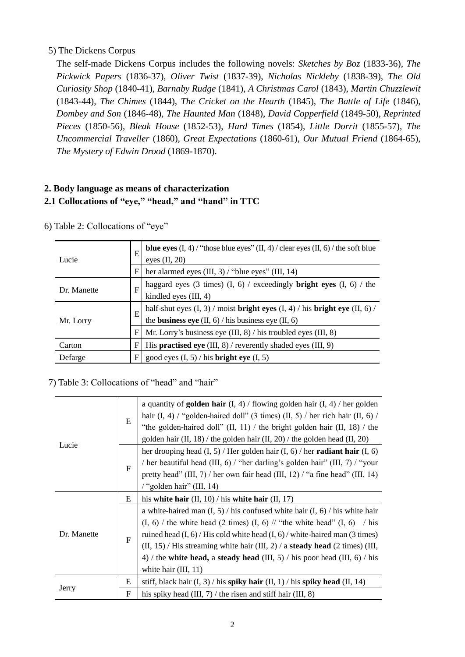## 5) The Dickens Corpus

The self-made Dickens Corpus includes the following novels: *Sketches by Boz* (1833-36), *The Pickwick Papers* (1836-37), *Oliver Twist* (1837-39), *Nicholas Nickleby* (1838-39), *The Old Curiosity Shop* (1840-41), *Barnaby Rudge* (1841), *A Christmas Carol* (1843), *Martin Chuzzlewit* (1843-44), *The Chimes* (1844), *The Cricket on the Hearth* (1845), *The Battle of Life* (1846), *Dombey and Son* (1846-48), *The Haunted Man* (1848), *David Copperfield* (1849-50), *Reprinted Pieces* (1850-56), *Bleak House* (1852-53), *Hard Times* (1854), *Little Dorrit* (1855-57), *The Uncommercial Traveller* (1860), *Great Expectations* (1860-61), *Our Mutual Friend* (1864-65), *The Mystery of Edwin Drood* (1869-1870).

## **2. Body language as means of characterization 2.1 Collocations of "eye," "head," and "hand" in TTC**

| Lucie                                                               | E | <b>blue eyes</b> $(I, 4)$ / "those blue eyes" $(II, 4)$ / clear eyes $(II, 6)$ / the soft blue<br>eyes $(II, 20)$                                                                 |  |  |  |
|---------------------------------------------------------------------|---|-----------------------------------------------------------------------------------------------------------------------------------------------------------------------------------|--|--|--|
|                                                                     | F | her alarmed eyes $(III, 3)$ / "blue eyes" $(III, 14)$                                                                                                                             |  |  |  |
| Dr. Manette                                                         |   | haggard eyes (3 times) (I, 6) / exceedingly <b>bright eyes</b> (I, 6) / the<br>kindled eyes $(III, 4)$                                                                            |  |  |  |
| Mr. Lorry                                                           | E | half-shut eyes $(\mathrm{I},\,3)$ / moist bright eyes $(\mathrm{I},\,4)$ / his bright eye $(\mathrm{II},\,6)$ /<br>the <b>business eye</b> $(II, 6)$ / his business eye $(II, 6)$ |  |  |  |
|                                                                     | F | Mr. Lorry's business eye $(III, 8)$ / his troubled eyes $(III, 8)$                                                                                                                |  |  |  |
| Carton                                                              | F | His <b>practised eye</b> (III, 8) / reverently shaded eyes (III, 9)                                                                                                               |  |  |  |
| good eyes $(I, 5)$ / his <b>bright eye</b> $(I, 5)$<br>F<br>Defarge |   |                                                                                                                                                                                   |  |  |  |

6) Table 2: Collocations of "eye"

### 7) Table 3: Collocations of "head" and "hair"

|             | E            | a quantity of <b>golden hair</b> $(I, 4)$ / flowing golden hair $(I, 4)$ / her golden<br>hair (I, 4) / "golden-haired doll" (3 times) (II, 5) / her rich hair (II, 6) /<br>"the golden-haired doll" $(II, 11)$ / the bright golden hair $(II, 18)$ / the<br>golden hair (II, 18) / the golden hair (II, 20) / the golden head (II, 20)                                                                                                                             |  |  |  |  |
|-------------|--------------|--------------------------------------------------------------------------------------------------------------------------------------------------------------------------------------------------------------------------------------------------------------------------------------------------------------------------------------------------------------------------------------------------------------------------------------------------------------------|--|--|--|--|
| Lucie       | $\mathbf{F}$ | her drooping head $(I, 5)$ / Her golden hair $(I, 6)$ / her <b>radiant hair</b> $(I, 6)$<br>/ her beautiful head (III, 6) / "her darling's golden hair" (III, 7) / "your<br>pretty head" (III, $7$ ) / her own fair head (III, 12) / "a fine head" (III, 14)<br>/ "golden hair" (III, 14)                                                                                                                                                                          |  |  |  |  |
|             | E            | his white hair $(II, 10)$ / his white hair $(II, 17)$                                                                                                                                                                                                                                                                                                                                                                                                              |  |  |  |  |
| Dr. Manette | $\mathbf{F}$ | a white-haired man $(I, 5)$ / his confused white hair $(I, 6)$ / his white hair<br>$(I, 6)$ / the white head (2 times) $(I, 6)$ // "the white head" $(I, 6)$ / his<br>ruined head $(I, 6)$ / His cold white head $(I, 6)$ / white-haired man (3 times)<br>$(II, 15)$ / His streaming white hair $(III, 2)$ / a <b>steady head</b> $(2 \times I, 15)$ (III,<br>4) / the white head, a steady head (III, 5) / his poor head (III, 6) / his<br>white hair $(III, 11)$ |  |  |  |  |
|             | E            | stiff, black hair $(I, 3)$ / his spiky hair $(II, 1)$ / his spiky head $(II, 14)$                                                                                                                                                                                                                                                                                                                                                                                  |  |  |  |  |
| Jerry       | $\mathbf F$  | his spiky head $(III, 7)$ / the risen and stiff hair $(III, 8)$                                                                                                                                                                                                                                                                                                                                                                                                    |  |  |  |  |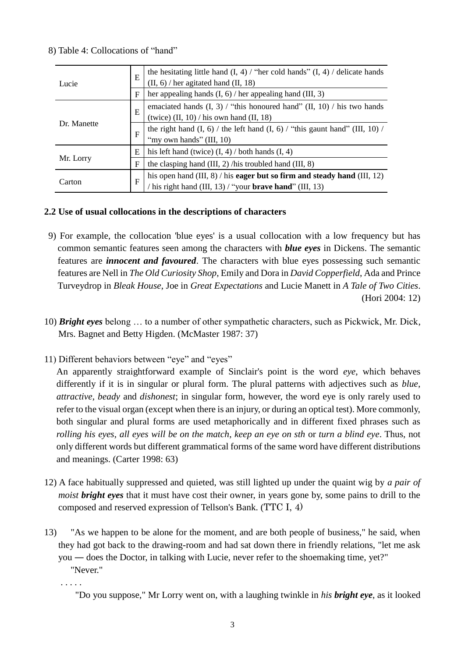### 8) Table 4: Collocations of "hand"

| Lucie       | E           | the hesitating little hand $(I, 4)$ / "her cold hands" $(I, 4)$ / delicate hands<br>$(II, 6)$ / her agitated hand $(II, 18)$                   |  |  |  |
|-------------|-------------|------------------------------------------------------------------------------------------------------------------------------------------------|--|--|--|
|             | $\mathbf F$ | her appealing hands $(I, 6)$ / her appealing hand $(III, 3)$                                                                                   |  |  |  |
|             | E           | emaciated hands $(I, 3)$ / "this honoured hand" $(II, 10)$ / his two hands<br>(twice) $(II, 10)$ / his own hand $(II, 18)$                     |  |  |  |
| Dr. Manette | F           | the right hand $(I, 6)$ / the left hand $(I, 6)$ / "this gaunt hand" $(III, 10)$ /<br>"my own hands" (III, 10)                                 |  |  |  |
|             | Ε           | his left hand (twice) $(I, 4)$ / both hands $(I, 4)$                                                                                           |  |  |  |
| Mr. Lorry   | F           | the clasping hand (III, 2) /his troubled hand (III, 8)                                                                                         |  |  |  |
| Carton      | F           | his open hand (III, 8) / his eager but so firm and steady hand (III, 12)<br>his right hand $(III, 13)$ / "your <b>brave hand</b> " $(III, 13)$ |  |  |  |

#### **2.2 Use of usual collocations in the descriptions of characters**

- 9) For example, the collocation 'blue eyes' is a usual collocation with a low frequency but has common semantic features seen among the characters with *blue eyes* in Dickens. The semantic features are *innocent and favoured*. The characters with blue eyes possessing such semantic features are Nell in *The Old Curiosity Shop*, Emily and Dora in *David Copperfield*, Ada and Prince Turveydrop in *Bleak House*, Joe in *Great Expectations* and Lucie Manett in *A Tale of Two Cities*. (Hori 2004: 12)
- 10) *Bright eyes* belong … to a number of other sympathetic characters, such as Pickwick, Mr. Dick, Mrs. Bagnet and Betty Higden. (McMaster 1987: 37)
- 11) Different behaviors between "eye" and "eyes"

An apparently straightforward example of Sinclair's point is the word *eye*, which behaves differently if it is in singular or plural form. The plural patterns with adjectives such as *blue*, *attractive*, *beady* and *dishonest*; in singular form, however, the word eye is only rarely used to refer to the visual organ (except when there is an injury, or during an optical test). More commonly, both singular and plural forms are used metaphorically and in different fixed phrases such as *rolling his eyes*, *all eyes will be on the match*, *keep an eye on sth* or *turn a blind eye*. Thus, not only different words but different grammatical forms of the same word have different distributions and meanings. (Carter 1998: 63)

- 12) A face habitually suppressed and quieted, was still lighted up under the quaint wig by *a pair of moist bright eyes* that it must have cost their owner, in years gone by, some pains to drill to the composed and reserved expression of Tellson's Bank. (TTC I, 4)
- 13) "As we happen to be alone for the moment, and are both people of business," he said, when they had got back to the drawing-room and had sat down there in friendly relations, "let me ask you ― does the Doctor, in talking with Lucie, never refer to the shoemaking time, yet?"
	- "Never."

. . . . .

"Do you suppose," Mr Lorry went on, with a laughing twinkle in *his bright eye*, as it looked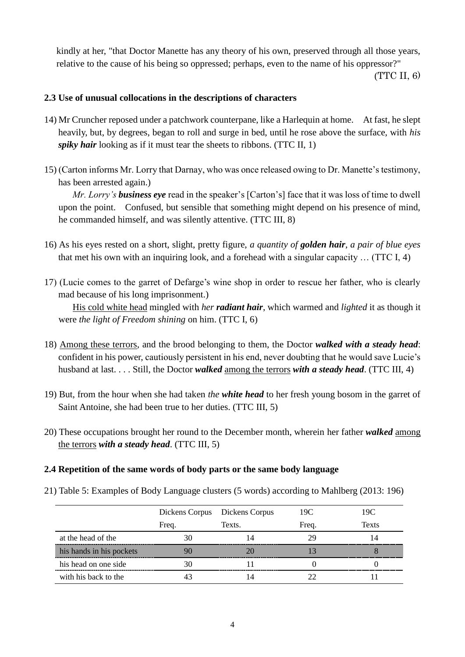kindly at her, "that Doctor Manette has any theory of his own, preserved through all those years, relative to the cause of his being so oppressed; perhaps, even to the name of his oppressor?"

(TTC II, 6)

#### **2.3 Use of unusual collocations in the descriptions of characters**

- 14) Mr Cruncher reposed under a patchwork counterpane, like a Harlequin at home. At fast, he slept heavily, but, by degrees, began to roll and surge in bed, until he rose above the surface, with *his spiky hair* looking as if it must tear the sheets to ribbons. (TTC II, 1)
- 15) (Carton informs Mr. Lorry that Darnay, who was once released owing to Dr. Manette's testimony, has been arrested again.)

 *Mr. Lorry's business eye* read in the speaker's [Carton's] face that it was loss of time to dwell upon the point. Confused, but sensible that something might depend on his presence of mind, he commanded himself, and was silently attentive. (TTC III, 8)

- 16) As his eyes rested on a short, slight, pretty figure, *a quantity of golden hair*, *a pair of blue eyes* that met his own with an inquiring look, and a forehead with a singular capacity … (TTC I, 4)
- 17) (Lucie comes to the garret of Defarge's wine shop in order to rescue her father, who is clearly mad because of his long imprisonment.) His cold white head mingled with *her radiant hair*, which warmed and *lighted* it as though it were *the light of Freedom shining* on him. (TTC I, 6)
- 18) Among these terrors, and the brood belonging to them, the Doctor *walked with a steady head*: confident in his power, cautiously persistent in his end, never doubting that he would save Lucie's husband at last. . . . Still, the Doctor *walked* among the terrors *with a steady head*. (TTC III, 4)
- 19) But, from the hour when she had taken *the white head* to her fresh young bosom in the garret of Saint Antoine, she had been true to her duties. (TTC III, 5)
- 20) These occupations brought her round to the December month, wherein her father *walked* among the terrors *with a steady head*. (TTC III, 5)

### **2.4 Repetition of the same words of body parts or the same body language**

21) Table 5: Examples of Body Language clusters (5 words) according to Mahlberg (2013: 196)

|                          |       | Dickens Corpus Dickens Corpus | 19C   | 19C   |
|--------------------------|-------|-------------------------------|-------|-------|
|                          | Freq. | Texts.                        | Freq. | Texts |
| at the head of the       | 30    |                               | 29    |       |
| his hands in his pockets |       |                               |       |       |
| his head on one side     | 30    |                               |       |       |
| with his back to the     |       |                               |       |       |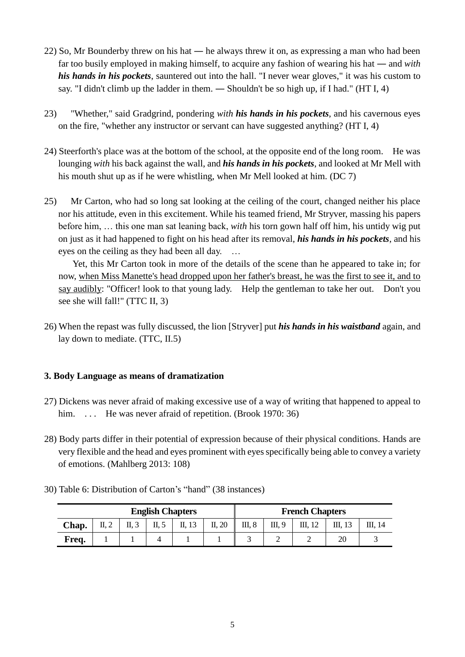- 22) So, Mr Bounderby threw on his hat ― he always threw it on, as expressing a man who had been far too busily employed in making himself, to acquire any fashion of wearing his hat ― and *with his hands in his pockets*, sauntered out into the hall. "I never wear gloves," it was his custom to say. "I didn't climb up the ladder in them. ― Shouldn't be so high up, if I had." (HT I, 4)
- 23) "Whether," said Gradgrind, pondering *with his hands in his pockets*, and his cavernous eyes on the fire, "whether any instructor or servant can have suggested anything? (HT I, 4)
- 24) Steerforth's place was at the bottom of the school, at the opposite end of the long room. He was lounging *with* his back against the wall, and *his hands in his pockets*, and looked at Mr Mell with his mouth shut up as if he were whistling, when Mr Mell looked at him. (DC 7)
- 25) Mr Carton, who had so long sat looking at the ceiling of the court, changed neither his place nor his attitude, even in this excitement. While his teamed friend, Mr Stryver, massing his papers before him, … this one man sat leaning back, *with* his torn gown half off him, his untidy wig put on just as it had happened to fight on his head after its removal, *his hands in his pockets*, and his eyes on the ceiling as they had been all day. …

 Yet, this Mr Carton took in more of the details of the scene than he appeared to take in; for now, when Miss Manette's head dropped upon her father's breast, he was the first to see it, and to say audibly: "Officer! look to that young lady. Help the gentleman to take her out. Don't you see she will fall!" (TTC II, 3)

26) When the repast was fully discussed, the lion [Stryver] put *his hands in his waistband* again, and lay down to mediate. (TTC, II.5)

### **3. Body Language as means of dramatization**

- 27) Dickens was never afraid of making excessive use of a way of writing that happened to appeal to him. ... He was never a fraid of repetition. (Brook 1970: 36)
- 28) Body parts differ in their potential of expression because of their physical conditions. Hands are very flexible and the head and eyes prominent with eyes specifically being able to convey a variety of emotions. (Mahlberg 2013: 108)

| <b>English Chapters</b> |                          |      |       |        |        |        | <b>French Chapters</b> |  |    |         |  |
|-------------------------|--------------------------|------|-------|--------|--------|--------|------------------------|--|----|---------|--|
| Chap.                   | $\mathbf{u}, \mathbf{v}$ | п, э | II, 5 | II, 13 | II, 20 | III, 8 | III, 9                 |  |    | III. 14 |  |
| Freq.                   |                          |      |       |        |        |        |                        |  | 20 |         |  |

30) Table 6: Distribution of Carton's "hand" (38 instances)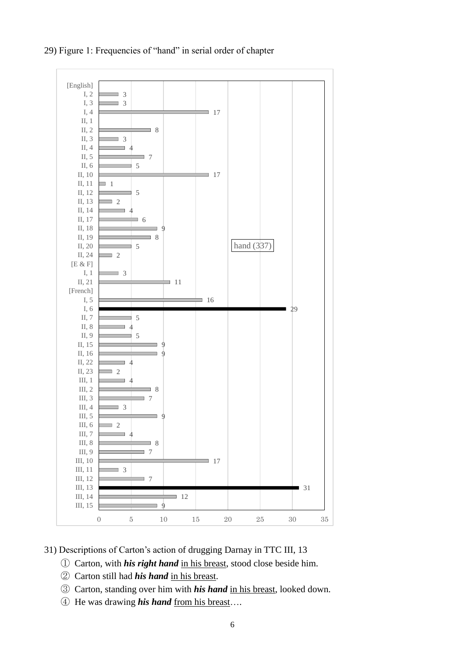

29) Figure 1: Frequencies of "hand" in serial order of chapter

31) Descriptions of Carton's action of drugging Darnay in TTC III, 13

- ① Carton, with *his right hand* in his breast, stood close beside him.
- ② Carton still had *his hand* in his breast.
- ③ Carton, standing over him with *his hand* in his breast, looked down.
- ④ He was drawing *his hand* from his breast….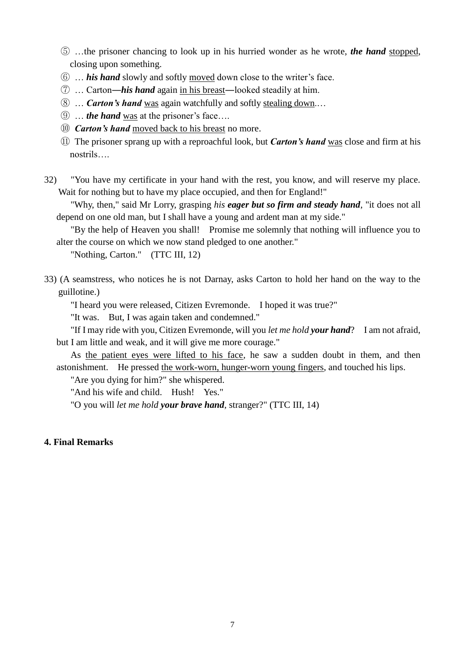- ⑤ …the prisoner chancing to look up in his hurried wonder as he wrote, *the hand* stopped, closing upon something.
- ⑥ … *his hand* slowly and softly moved down close to the writer's face.
- ⑦ … Carton―*his hand* again in his breast―looked steadily at him.
- ⑧ … *Carton's hand* was again watchfully and softly stealing down.…
- ⑨ … *the hand* was at the prisoner's face….
- ⑩ *Carton's hand* moved back to his breast no more.
- ⑪ The prisoner sprang up with a reproachful look, but *Carton's hand* was close and firm at his nostrils….
- 32) "You have my certificate in your hand with the rest, you know, and will reserve my place. Wait for nothing but to have my place occupied, and then for England!"

 "Why, then," said Mr Lorry, grasping *his eager but so firm and steady hand*, "it does not all depend on one old man, but I shall have a young and ardent man at my side."

 "By the help of Heaven you shall! Promise me solemnly that nothing will influence you to alter the course on which we now stand pledged to one another."

"Nothing, Carton." (TTC III, 12)

33) (A seamstress, who notices he is not Darnay, asks Carton to hold her hand on the way to the guillotine.)

"I heard you were released, Citizen Evremonde. I hoped it was true?"

"It was. But, I was again taken and condemned."

 "If I may ride with you, Citizen Evremonde, will you *let me hold your hand*? I am not afraid, but I am little and weak, and it will give me more courage."

 As the patient eyes were lifted to his face, he saw a sudden doubt in them, and then astonishment. He pressed the work-worn, hunger-worn young fingers, and touched his lips.

"Are you dying for him?" she whispered.

"And his wife and child. Hush! Yes."

"O you will *let me hold your brave hand*, stranger?" (TTC III, 14)

### **4. Final Remarks**